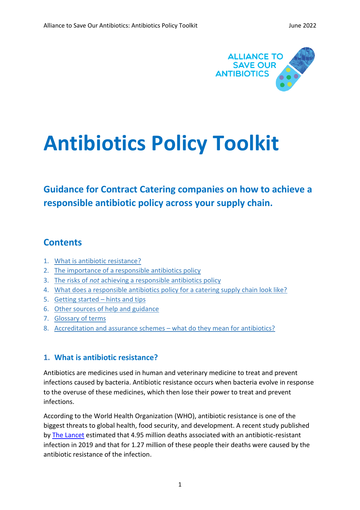

# **Antibiotics Policy Toolkit**

# **Guidance for Contract Catering companies on how to achieve a responsible antibiotic policy across your supply chain.**

## <span id="page-0-1"></span>**Contents**

- 1. [What is antibiotic resistance?](#page-0-0)
- 2. [The importance of a responsible antibiotics policy](#page-1-0)
- 3. The risks of *not* [achieving a responsible antibiotics policy](#page-1-1)
- 4. [What does a responsible antibiotics policy for a catering supply chain look like?](#page-3-0)
- 5. [Getting started](#page-4-0)  hints and tips
- 6. [Other sources of help and guidance](#page-5-0)
- 7. [Glossary of terms](#page-5-1)
- 8. [Accreditation and assurance schemes](#page-6-0)  what do they mean for antibiotics?

## <span id="page-0-0"></span>**1. What is antibiotic resistance?**

Antibiotics are medicines used in human and veterinary medicine to treat and prevent infections caused by bacteria. Antibiotic resistance occurs when bacteria evolve in response to the overuse of these medicines, which then lose their power to treat and prevent infections.

According to the World Health Organization (WHO), antibiotic resistance is one of the biggest threats to global health, food security, and development. A recent study published by [The Lancet](https://www.thelancet.com/journals/lancet/article/PIIS0140-6736(21)02724-0/fulltext) estimated that 4.95 million deaths associated with an antibiotic-resistant infection in 2019 and that for 1.27 million of these people their deaths were caused by the antibiotic resistance of the infection.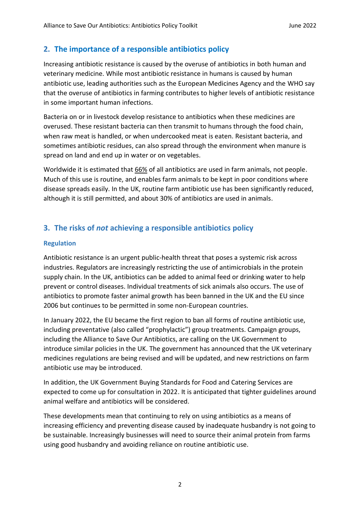## <span id="page-1-0"></span>**2. The importance of a responsible antibiotics policy**

Increasing antibiotic resistance is caused by the overuse of antibiotics in both human and veterinary medicine. While most antibiotic resistance in humans is caused by human antibiotic use, leading authorities such as the European Medicines Agency and the WHO say that the overuse of antibiotics in farming contributes to higher levels of antibiotic resistance in some important human infections.

Bacteria on or in livestock develop resistance to antibiotics when these medicines are overused. These resistant bacteria can then transmit to humans through the food chain, when raw meat is handled, or when undercooked meat is eaten. Resistant bacteria, and sometimes antibiotic residues, can also spread through the environment when manure is spread on land and end up in water or on vegetables.

Worldwide it is estimated that [66%](https://www.ncbi.nlm.nih.gov/pmc/articles/PMC7766021/pdf/antibiotics-09-00918.pdf) of all antibiotics are used in farm animals, not people. Much of this use is routine, and enables farm animals to be kept in poor conditions where disease spreads easily. In the UK, routine farm antibiotic use has been significantly reduced, although it is still permitted, and about 30% of antibiotics are used in animals.

## <span id="page-1-1"></span>**3. The risks of** *not* **achieving a responsible antibiotics policy**

#### **Regulation**

Antibiotic resistance is an urgent public-health threat that poses a systemic risk across industries. Regulators are increasingly restricting the use of antimicrobials in the protein supply chain. In the UK, antibiotics can be added to animal feed or drinking water to help prevent or control diseases. Individual treatments of sick animals also occurs. The use of antibiotics to promote faster animal growth has been banned in the UK and the EU since 2006 but continues to be permitted in some non-European countries.

In January 2022, the EU became the first region to ban all forms of routine antibiotic use, including preventative (also called "prophylactic") group treatments. Campaign groups, including the Alliance to Save Our Antibiotics, are calling on the UK Government to introduce similar policies in the UK. The government has announced that the UK veterinary medicines regulations are being revised and will be updated, and new restrictions on farm antibiotic use may be introduced.

In addition, the UK Government Buying Standards for Food and Catering Services are expected to come up for consultation in 2022. It is anticipated that tighter guidelines around animal welfare and antibiotics will be considered.

These developments mean that continuing to rely on using antibiotics as a means of increasing efficiency and preventing disease caused by inadequate husbandry is not going to be sustainable. Increasingly businesses will need to source their animal protein from farms using good husbandry and avoiding reliance on routine antibiotic use.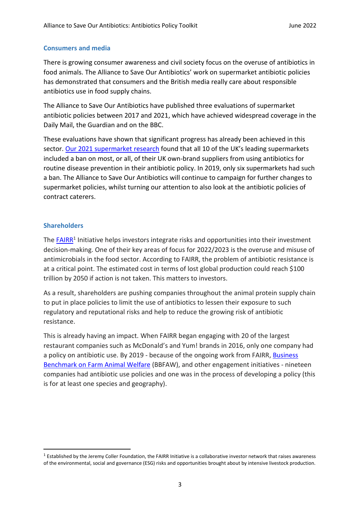#### **Consumers and media**

There is growing consumer awareness and civil society focus on the overuse of antibiotics in food animals. The Alliance to Save Our Antibiotics' work on supermarket antibiotic policies has demonstrated that consumers and the British media really care about responsible antibiotics use in food supply chains.

The Alliance to Save Our Antibiotics have published three evaluations of supermarket antibiotic policies between 2017 and 2021, which have achieved widespread coverage in the Daily Mail, the Guardian and on the BBC.

These evaluations have shown that significant progress has already been achieved in this sector. [Our 2021 supermarket research](https://www.saveourantibiotics.org/media/1985/executive-summary-supermarket-antibiotic-policies-2021.pdf) found that all 10 of the UK's leading supermarkets included a ban on most, or all, of their UK own-brand suppliers from using antibiotics for routine disease prevention in their antibiotic policy. In 2019, only six supermarkets had such a ban. The Alliance to Save Our Antibiotics will continue to campaign for further changes to supermarket policies, whilst turning our attention to also look at the antibiotic policies of contract caterers.

#### **Shareholders**

The **FAIRR<sup>1</sup>** Initiative helps investors integrate risks and opportunities into their investment decision-making. One of their key areas of focus for 2022/2023 is the overuse and misuse of antimicrobials in the food sector. According to FAIRR, the problem of antibiotic resistance is at a critical point. The estimated cost in terms of lost global production could reach \$100 trillion by 2050 if action is not taken. This matters to investors.

As a result, shareholders are pushing companies throughout the animal protein supply chain to put in place policies to limit the use of antibiotics to lessen their exposure to such regulatory and reputational risks and help to reduce the growing risk of antibiotic resistance.

This is already having an impact. When FAIRR began engaging with 20 of the largest restaurant companies such as McDonald's and Yum! brands in 2016, only one company had a policy on antibiotic use. By 2019 - because of the ongoing work from FAIRR, [Business](https://www.bbfaw.com/)  [Benchmark on Farm Animal Welfare](https://www.bbfaw.com/) (BBFAW), and other engagement initiatives - nineteen companies had antibiotic use policies and one was in the process of developing a policy (this is for at least one species and geography).

 $<sup>1</sup>$  Established by the Jeremy Coller Foundation, the FAIRR Initiative is a collaborative investor network that raises awareness</sup> of the environmental, social and governance (ESG) risks and opportunities brought about by intensive livestock production.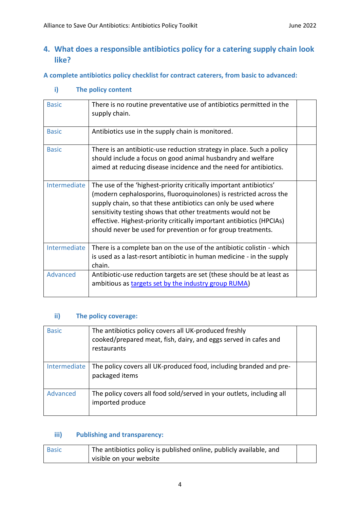## <span id="page-3-0"></span>**4. What does a responsible antibiotics policy for a catering supply chain look like?**

**A complete antibiotics policy checklist for contract caterers, from basic to advanced:**

| <b>Basic</b> | There is no routine preventative use of antibiotics permitted in the<br>supply chain.                                                                                                                                                                                                                                                                                                                               |  |
|--------------|---------------------------------------------------------------------------------------------------------------------------------------------------------------------------------------------------------------------------------------------------------------------------------------------------------------------------------------------------------------------------------------------------------------------|--|
| <b>Basic</b> | Antibiotics use in the supply chain is monitored.                                                                                                                                                                                                                                                                                                                                                                   |  |
| <b>Basic</b> | There is an antibiotic-use reduction strategy in place. Such a policy<br>should include a focus on good animal husbandry and welfare<br>aimed at reducing disease incidence and the need for antibiotics.                                                                                                                                                                                                           |  |
| Intermediate | The use of the 'highest-priority critically important antibiotics'<br>(modern cephalosporins, fluoroquinolones) is restricted across the<br>supply chain, so that these antibiotics can only be used where<br>sensitivity testing shows that other treatments would not be<br>effective. Highest-priority critically important antibiotics (HPCIAs)<br>should never be used for prevention or for group treatments. |  |
| Intermediate | There is a complete ban on the use of the antibiotic colistin - which<br>is used as a last-resort antibiotic in human medicine - in the supply<br>chain.                                                                                                                                                                                                                                                            |  |
| Advanced     | Antibiotic-use reduction targets are set (these should be at least as<br>ambitious as targets set by the industry group RUMA)                                                                                                                                                                                                                                                                                       |  |

**i) The policy content**

### **ii) The policy coverage:**

| <b>Basic</b> | The antibiotics policy covers all UK-produced freshly<br>cooked/prepared meat, fish, dairy, and eggs served in cafes and<br>restaurants |  |
|--------------|-----------------------------------------------------------------------------------------------------------------------------------------|--|
| Intermediate | The policy covers all UK-produced food, including branded and pre-<br>packaged items                                                    |  |
| Advanced     | The policy covers all food sold/served in your outlets, including all<br>imported produce                                               |  |

## **iii) Publishing and transparency:**

| The antibiotics policy is published online, publicly available, and<br><b>Basic</b> |                         |  |
|-------------------------------------------------------------------------------------|-------------------------|--|
|                                                                                     | visible on your website |  |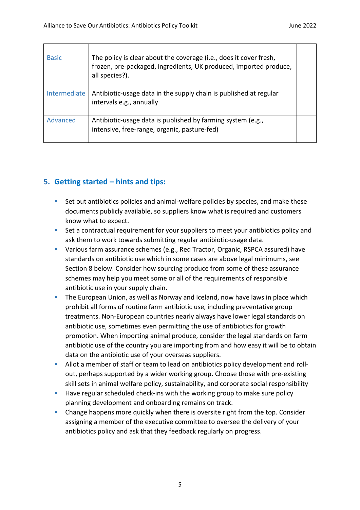| <b>Basic</b> | The policy is clear about the coverage (i.e., does it cover fresh,<br>frozen, pre-packaged, ingredients, UK produced, imported produce,<br>all species?). |  |
|--------------|-----------------------------------------------------------------------------------------------------------------------------------------------------------|--|
| Intermediate | Antibiotic-usage data in the supply chain is published at regular<br>intervals e.g., annually                                                             |  |
| Advanced     | Antibiotic-usage data is published by farming system (e.g.,<br>intensive, free-range, organic, pasture-fed)                                               |  |

## <span id="page-4-0"></span>**5. Getting started – hints and tips:**

- Set out antibiotics policies and animal-welfare policies by species, and make these documents publicly available, so suppliers know what is required and customers know what to expect.
- Set a contractual requirement for your suppliers to meet your antibiotics policy and ask them to work towards submitting regular antibiotic-usage data.
- Various farm assurance schemes (e.g., Red Tractor, Organic, RSPCA assured) have standards on antibiotic use which in some cases are above legal minimums, see Section 8 below. Consider how sourcing produce from some of these assurance schemes may help you meet some or all of the requirements of responsible antibiotic use in your supply chain.
- **•** The European Union, as well as Norway and Iceland, now have laws in place which prohibit all forms of routine farm antibiotic use, including preventative group treatments. Non-European countries nearly always have lower legal standards on antibiotic use, sometimes even permitting the use of antibiotics for growth promotion. When importing animal produce, consider the legal standards on farm antibiotic use of the country you are importing from and how easy it will be to obtain data on the antibiotic use of your overseas suppliers.
- Allot a member of staff or team to lead on antibiotics policy development and rollout, perhaps supported by a wider working group. Choose those with pre-existing skill sets in animal welfare policy, sustainability, and corporate social responsibility
- Have regular scheduled check-ins with the working group to make sure policy planning development and onboarding remains on track.
- **Change happens more quickly when there is oversite right from the top. Consider** assigning a member of the executive committee to oversee the delivery of your antibiotics policy and ask that they feedback regularly on progress.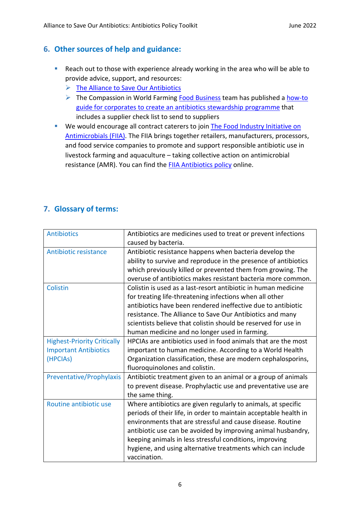## <span id="page-5-0"></span>**6. Other sources of help and guidance:**

- Reach out to those with experience already working in the area who will be able to provide advice, support, and resources:
	- ➢ [The Alliance to Save Our Antibiotics](https://www.saveourantibiotics.org/news/articles/interviews-with-the-experts-vicky-bond-managing-director-the-humane-league-uk/)
	- $\triangleright$  The Compassion in World Farming [Food Business](https://www.compassioninfoodbusiness.com/) team has published a how-to [guide for corporates to create an antibiotics stewardship programme](https://www.compassioninfoodbusiness.com/media/7431208/how-to-develop-an-antibiotic-stewardship-programme.pdf) that includes a supplier check list to send to suppliers
- We would encourage all contract caterers to join The Food Industry Initiative on [Antimicrobials](https://fiia.co.uk/) (FIIA). The FIIA brings together retailers, manufacturers, processors, and food service companies to promote and support responsible antibiotic use in livestock farming and aquaculture – taking collective action on antimicrobial resistance (AMR). You can find the [FIIA Antibiotics policy](https://www.farmantibiotics.org/fiia-antibiotic-policy/) online.

## <span id="page-5-1"></span>**7. Glossary of terms:**

| <b>Antibiotics</b>                 | Antibiotics are medicines used to treat or prevent infections    |
|------------------------------------|------------------------------------------------------------------|
|                                    | caused by bacteria.                                              |
| <b>Antibiotic resistance</b>       | Antibiotic resistance happens when bacteria develop the          |
|                                    | ability to survive and reproduce in the presence of antibiotics  |
|                                    | which previously killed or prevented them from growing. The      |
|                                    | overuse of antibiotics makes resistant bacteria more common.     |
| Colistin                           | Colistin is used as a last-resort antibiotic in human medicine   |
|                                    | for treating life-threatening infections when all other          |
|                                    | antibiotics have been rendered ineffective due to antibiotic     |
|                                    | resistance. The Alliance to Save Our Antibiotics and many        |
|                                    | scientists believe that colistin should be reserved for use in   |
|                                    | human medicine and no longer used in farming.                    |
| <b>Highest-Priority Critically</b> | HPCIAs are antibiotics used in food animals that are the most    |
| <b>Important Antibiotics</b>       | important to human medicine. According to a World Health         |
| (HPCIAs)                           | Organization classification, these are modern cephalosporins,    |
|                                    | fluoroquinolones and colistin.                                   |
| Preventative/Prophylaxis           | Antibiotic treatment given to an animal or a group of animals    |
|                                    | to prevent disease. Prophylactic use and preventative use are    |
|                                    | the same thing.                                                  |
| Routine antibiotic use             | Where antibiotics are given regularly to animals, at specific    |
|                                    | periods of their life, in order to maintain acceptable health in |
|                                    | environments that are stressful and cause disease. Routine       |
|                                    | antibiotic use can be avoided by improving animal husbandry,     |
|                                    | keeping animals in less stressful conditions, improving          |
|                                    | hygiene, and using alternative treatments which can include      |
|                                    | vaccination.                                                     |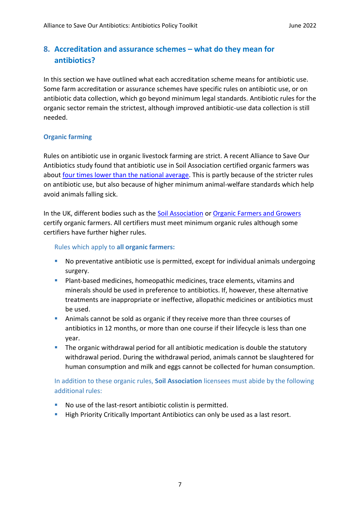## <span id="page-6-0"></span>**8. Accreditation and assurance schemes – what do they mean for antibiotics?**

In this section we have outlined what each accreditation scheme means for antibiotic use. Some farm accreditation or assurance schemes have specific rules on antibiotic use, or on antibiotic data collection, which go beyond minimum legal standards. Antibiotic rules for the organic sector remain the strictest, although improved antibiotic-use data collection is still needed.

#### **Organic farming**

Rules on antibiotic use in organic livestock farming are strict. A recent Alliance to Save Our Antibiotics study found that antibiotic use in Soil Association certified organic farmers was about [four times lower than the national average.](https://saveourantibiotics.org/media/1914/20210406_antibiotic_use_in_organic_farming.pdf) This is partly because of the stricter rules on antibiotic use, but also because of higher minimum animal-welfare standards which help avoid animals falling sick.

In the UK, different bodies such as the [Soil Association](https://www.soilassociation.org/media/15931/farming-and-growing-standards.pdf) or [Organic Farmers and Growers](https://assets.ofgorganic.org/cm-8-livestock.j7dthv.pdf) certify organic farmers. All certifiers must meet minimum organic rules although some certifiers have further higher rules.

Rules which apply to **all organic farmers:**

- No preventative antibiotic use is permitted, except for individual animals undergoing surgery.
- **•** Plant-based medicines, homeopathic medicines, trace elements, vitamins and minerals should be used in preference to antibiotics. If, however, these alternative treatments are inappropriate or ineffective, allopathic medicines or antibiotics must be used.
- **EXED** Animals cannot be sold as organic if they receive more than three courses of antibiotics in 12 months, or more than one course if their lifecycle is less than one year.
- **•** The organic withdrawal period for all antibiotic medication is double the statutory withdrawal period. During the withdrawal period, animals cannot be slaughtered for human consumption and milk and eggs cannot be collected for human consumption.

In addition to these organic rules, **Soil Association** licensees must abide by the following additional rules:

- No use of the last-resort antibiotic colistin is permitted.
- High Priority Critically Important Antibiotics can only be used as a last resort.